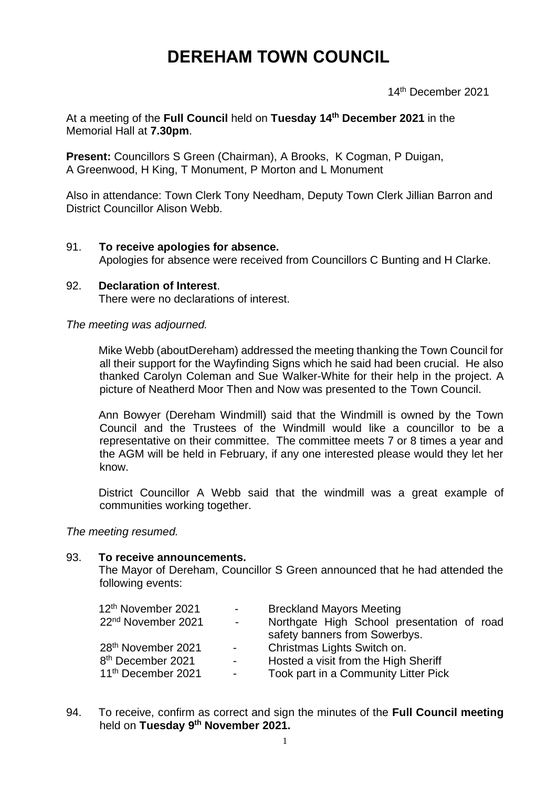# **DEREHAM TOWN COUNCIL**

14th December 2021

At a meeting of the **Full Council** held on **Tuesday 14th December 2021** in the Memorial Hall at **7.30pm**.

**Present:** Councillors S Green (Chairman), A Brooks, K Cogman, P Duigan, A Greenwood, H King, T Monument, P Morton and L Monument

Also in attendance: Town Clerk Tony Needham, Deputy Town Clerk Jillian Barron and District Councillor Alison Webb.

### 91. **To receive apologies for absence.**

Apologies for absence were received from Councillors C Bunting and H Clarke.

# 92. **Declaration of Interest**. There were no declarations of interest.

*The meeting was adjourned.*

Mike Webb (aboutDereham) addressed the meeting thanking the Town Council for all their support for the Wayfinding Signs which he said had been crucial. He also thanked Carolyn Coleman and Sue Walker-White for their help in the project. A picture of Neatherd Moor Then and Now was presented to the Town Council.

Ann Bowyer (Dereham Windmill) said that the Windmill is owned by the Town Council and the Trustees of the Windmill would like a councillor to be a representative on their committee. The committee meets 7 or 8 times a year and the AGM will be held in February, if any one interested please would they let her know.

District Councillor A Webb said that the windmill was a great example of communities working together.

*The meeting resumed.*

#### 93. **To receive announcements.**

The Mayor of Dereham, Councillor S Green announced that he had attended the following events:

| 12 <sup>th</sup> November 2021<br>22 <sup>nd</sup> November 2021<br>$\blacksquare$ | $\sim$ 100 $\mu$ | <b>Breckland Mayors Meeting</b><br>Northgate High School presentation of road |  |  |
|------------------------------------------------------------------------------------|------------------|-------------------------------------------------------------------------------|--|--|
|                                                                                    |                  | safety banners from Sowerbys.                                                 |  |  |
| 28 <sup>th</sup> November 2021<br>$\sim 100$                                       |                  | Christmas Lights Switch on.                                                   |  |  |
| 8 <sup>th</sup> December 2021<br>$\sim 100$                                        |                  | Hosted a visit from the High Sheriff                                          |  |  |
| 11 <sup>th</sup> December 2021<br>$\sim 100$                                       |                  | Took part in a Community Litter Pick                                          |  |  |

94. To receive, confirm as correct and sign the minutes of the **Full Council meeting** held on **Tuesday 9 th November 2021.**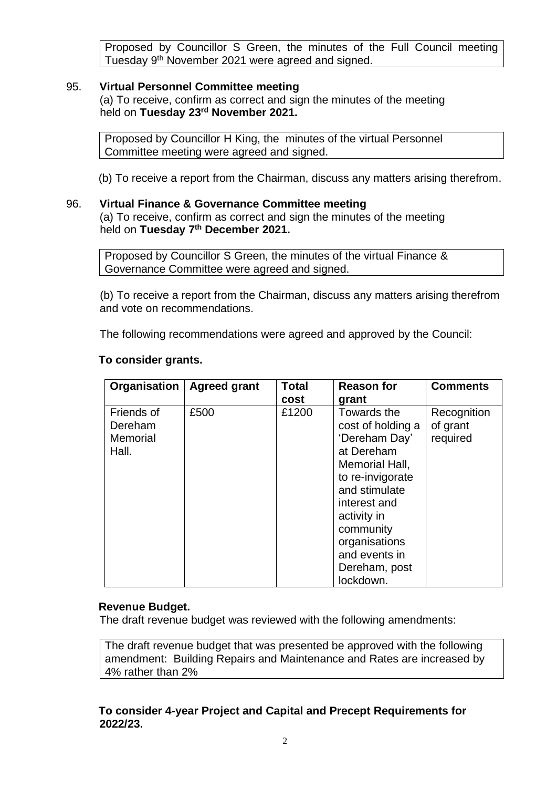Proposed by Councillor S Green, the minutes of the Full Council meeting Tuesday 9th November 2021 were agreed and signed.

### 95. **Virtual Personnel Committee meeting**

(a) To receive, confirm as correct and sign the minutes of the meeting held on **Tuesday 23rd November 2021.**

Proposed by Councillor H King, the minutes of the virtual Personnel Committee meeting were agreed and signed.

(b) To receive a report from the Chairman, discuss any matters arising therefrom.

### 96. **Virtual Finance & Governance Committee meeting**

(a) To receive, confirm as correct and sign the minutes of the meeting held on **Tuesday 7 th December 2021.**

Proposed by Councillor S Green, the minutes of the virtual Finance & Governance Committee were agreed and signed.

(b) To receive a report from the Chairman, discuss any matters arising therefrom and vote on recommendations.

The following recommendations were agreed and approved by the Council:

| Organisation                               | <b>Agreed grant</b> | <b>Total</b> | <b>Reason for</b>                                                                                                                                                                                                                  | <b>Comments</b>                     |
|--------------------------------------------|---------------------|--------------|------------------------------------------------------------------------------------------------------------------------------------------------------------------------------------------------------------------------------------|-------------------------------------|
|                                            |                     | cost         | grant                                                                                                                                                                                                                              |                                     |
| Friends of<br>Dereham<br>Memorial<br>Hall. | £500                | £1200        | Towards the<br>cost of holding a<br>'Dereham Day'<br>at Dereham<br>Memorial Hall,<br>to re-invigorate<br>and stimulate<br>interest and<br>activity in<br>community<br>organisations<br>and events in<br>Dereham, post<br>lockdown. | Recognition<br>of grant<br>required |

### **To consider grants.**

## **Revenue Budget.**

The draft revenue budget was reviewed with the following amendments:

The draft revenue budget that was presented be approved with the following amendment: Building Repairs and Maintenance and Rates are increased by 4% rather than 2%

### **To consider 4-year Project and Capital and Precept Requirements for 2022/23.**